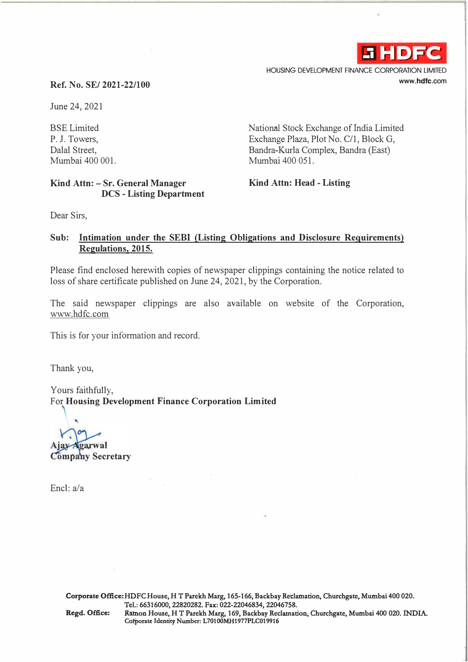

HOUSING DEVELOPMENT FINANCE CORPORATION LIMITED **www.hdfc.com** 

## **Ref. No. SE/ 2021-22/100**

June 24, 2021

BSE Limited P. J. Towers, Dalal Street, Mumbai 400 001.

## **Kind Attn: - Sr. General Manager DCS - Listing Department**

National Stock Exchange of India Limited Exchange Plaza, Plot No. C/1, Block G, Bandra-Kurla Complex, Bandra (East) Mumbai 400 051.

## **Kind Attn: Head - Listing**

Dear Sirs,

## **Sub: Intimation under the SEBI (Listing Obligations and Disclosure Requirements) Regulations, 2015.**

Please find enclosed herewith copies of newspaper clippings containing the notice related to loss of share certificate published on June 24, 2021, by the Corporation.

The said newspaper clippings are also available on website of the Corporation, www.hdfc.com

This is for your information and record.

Thank you,

Yours faithfully, For **Housing Development Finance Corporation Limited** 

jay Agarwal

**Company Secretary** 

Encl: a/a

**Corporate Office: HDFC House, HT Parekh Marg, 165-166, Backbay Reclamation, Churchgate, Mumbai 400 020. Tel.: 66316000, 22820282. Fax: 022-22046834, 22046758. Regd. Office: Ramon House, HT Parekh Marg, 169, Backbay Reclamation, Churchgate, Mumbai 400 020. INDIA.**  Cdroorate Identity Number: L70100MH1977PLC019916